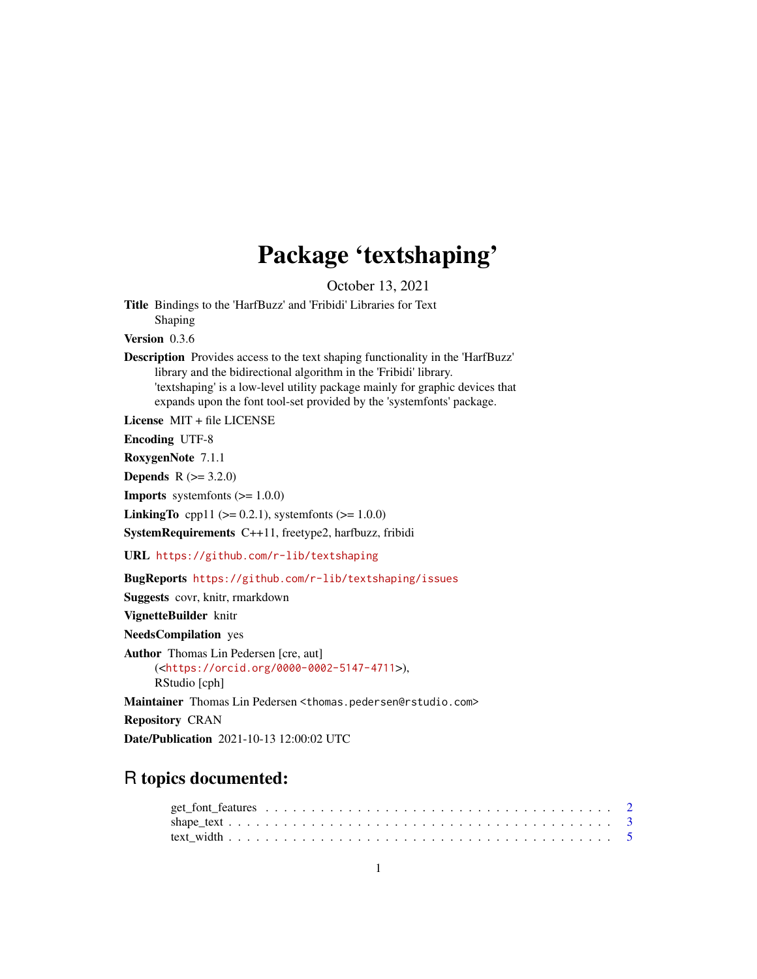# Package 'textshaping'

October 13, 2021

<span id="page-0-0"></span>Title Bindings to the 'HarfBuzz' and 'Fribidi' Libraries for Text Shaping Version 0.3.6

Description Provides access to the text shaping functionality in the 'HarfBuzz' library and the bidirectional algorithm in the 'Fribidi' library. 'textshaping' is a low-level utility package mainly for graphic devices that expands upon the font tool-set provided by the 'systemfonts' package.

License MIT + file LICENSE

Encoding UTF-8

RoxygenNote 7.1.1

**Depends**  $R (= 3.2.0)$ 

**Imports** systemfonts  $(>= 1.0.0)$ 

**LinkingTo** cpp11 ( $>= 0.2.1$ ), systemfonts ( $>= 1.0.0$ )

SystemRequirements C++11, freetype2, harfbuzz, fribidi

URL <https://github.com/r-lib/textshaping>

BugReports <https://github.com/r-lib/textshaping/issues>

Suggests covr, knitr, rmarkdown

VignetteBuilder knitr

NeedsCompilation yes

Author Thomas Lin Pedersen [cre, aut] (<<https://orcid.org/0000-0002-5147-4711>>), RStudio [cph]

Maintainer Thomas Lin Pedersen <thomas.pedersen@rstudio.com>

Repository CRAN

Date/Publication 2021-10-13 12:00:02 UTC

# R topics documented: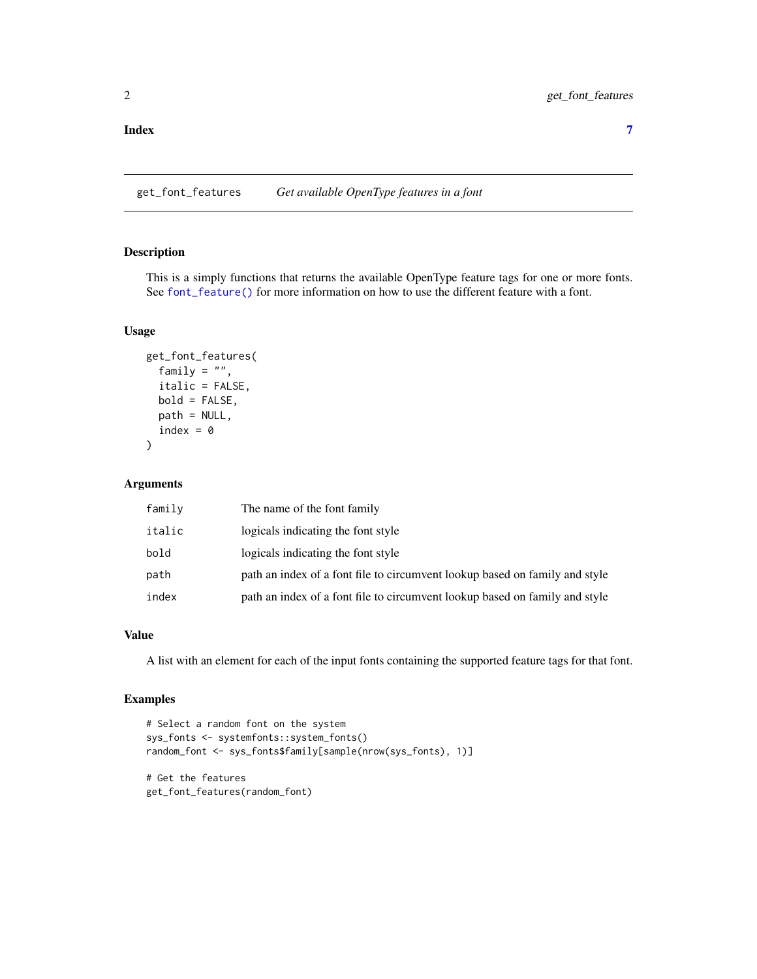#### <span id="page-1-0"></span>**Index** [7](#page-6-0) **7**

get\_font\_features *Get available OpenType features in a font*

#### Description

This is a simply functions that returns the available OpenType feature tags for one or more fonts. See [font\\_feature\(\)](#page-0-0) for more information on how to use the different feature with a font.

#### Usage

```
get_font_features(
  family = "",
  italic = FALSE,
 bold = FALSE,
 path = NULL,
  index = 0)
```
#### Arguments

| family | The name of the font family                                                 |
|--------|-----------------------------------------------------------------------------|
| italic | logicals indicating the font style                                          |
| bold   | logicals indicating the font style                                          |
| path   | path an index of a font file to circumvent lookup based on family and style |
| index  | path an index of a font file to circumvent lookup based on family and style |

#### Value

A list with an element for each of the input fonts containing the supported feature tags for that font.

# Examples

```
# Select a random font on the system
sys_fonts <- systemfonts::system_fonts()
random_font <- sys_fonts$family[sample(nrow(sys_fonts), 1)]
# Get the features
get_font_features(random_font)
```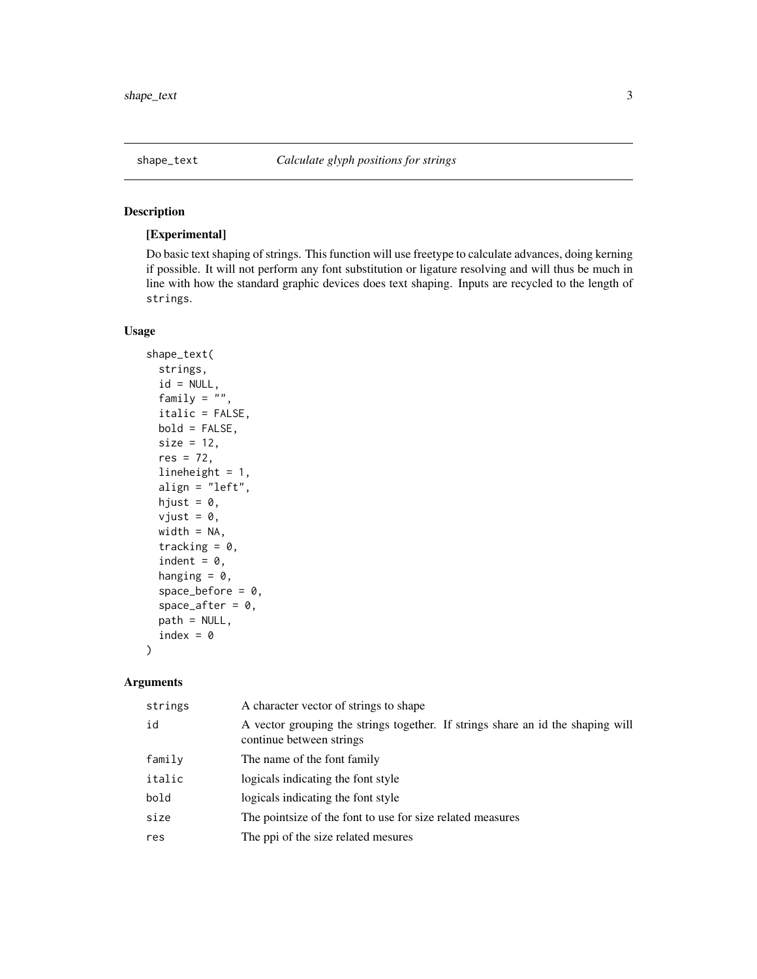<span id="page-2-0"></span>

# Description

#### [Experimental]

Do basic text shaping of strings. This function will use freetype to calculate advances, doing kerning if possible. It will not perform any font substitution or ligature resolving and will thus be much in line with how the standard graphic devices does text shaping. Inputs are recycled to the length of strings.

#### Usage

```
shape_text(
  strings,
  id = NULL,family = ",
  italic = FALSE,
 bold = FALSE,
  size = 12,res = 72,
  lineheight = 1,
  align = "left",
 hjust = 0,
  vjust = \theta,
 width = NA,
  tracking = 0,
  indent = 0,
  hanging = 0,
  space\_before = 0,
  space_after = 0,
 path = NULL,
  index = 0
```
#### Arguments

)

| strings | A character vector of strings to shape                                                                      |
|---------|-------------------------------------------------------------------------------------------------------------|
| id      | A vector grouping the strings together. If strings share an id the shaping will<br>continue between strings |
| family  | The name of the font family                                                                                 |
| italic  | logicals indicating the font style.                                                                         |
| bold    | logicals indicating the font style                                                                          |
| size    | The point size of the font to use for size related measures                                                 |
| res     | The ppi of the size related mesures                                                                         |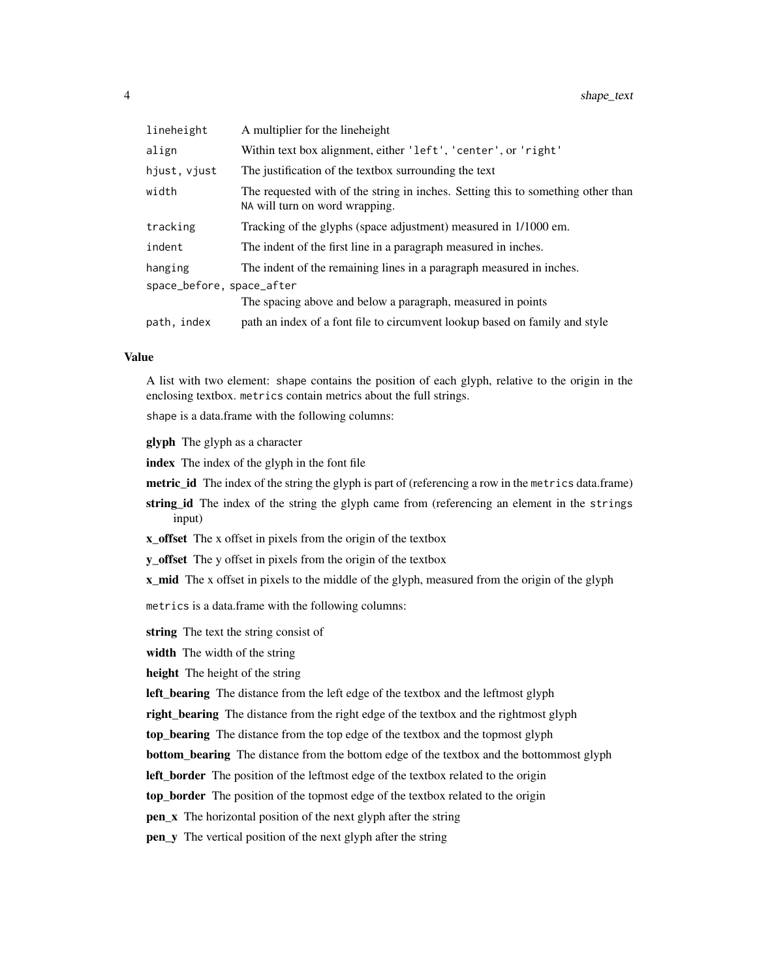| lineheight                | A multiplier for the lineheight                                                                                    |  |
|---------------------------|--------------------------------------------------------------------------------------------------------------------|--|
| align                     | Within text box alignment, either 'left', 'center', or 'right'                                                     |  |
| hjust, vjust              | The justification of the textbox surrounding the text                                                              |  |
| width                     | The requested with of the string in inches. Setting this to something other than<br>NA will turn on word wrapping. |  |
| tracking                  | Tracking of the glyphs (space adjustment) measured in 1/1000 em.                                                   |  |
| indent                    | The indent of the first line in a paragraph measured in inches.                                                    |  |
| hanging                   | The indent of the remaining lines in a paragraph measured in inches.                                               |  |
| space_before, space_after |                                                                                                                    |  |
|                           | The spacing above and below a paragraph, measured in points                                                        |  |
| path, index               | path an index of a font file to circumvent lookup based on family and style                                        |  |

#### Value

A list with two element: shape contains the position of each glyph, relative to the origin in the enclosing textbox. metrics contain metrics about the full strings.

shape is a data.frame with the following columns:

glyph The glyph as a character

index The index of the glyph in the font file

metric\_id The index of the string the glyph is part of (referencing a row in the metrics data.frame)

- string\_id The index of the string the glyph came from (referencing an element in the strings input)
- x\_offset The x offset in pixels from the origin of the textbox
- y\_offset The y offset in pixels from the origin of the textbox

x\_mid The x offset in pixels to the middle of the glyph, measured from the origin of the glyph

metrics is a data.frame with the following columns:

string The text the string consist of

width The width of the string

height The height of the string

left\_bearing The distance from the left edge of the textbox and the leftmost glyph

right\_bearing The distance from the right edge of the textbox and the rightmost glyph

top\_bearing The distance from the top edge of the textbox and the topmost glyph

**bottom\_bearing** The distance from the bottom edge of the textbox and the bottommost glyph

left\_border The position of the leftmost edge of the textbox related to the origin

top\_border The position of the topmost edge of the textbox related to the origin

pen\_x The horizontal position of the next glyph after the string

pen\_y The vertical position of the next glyph after the string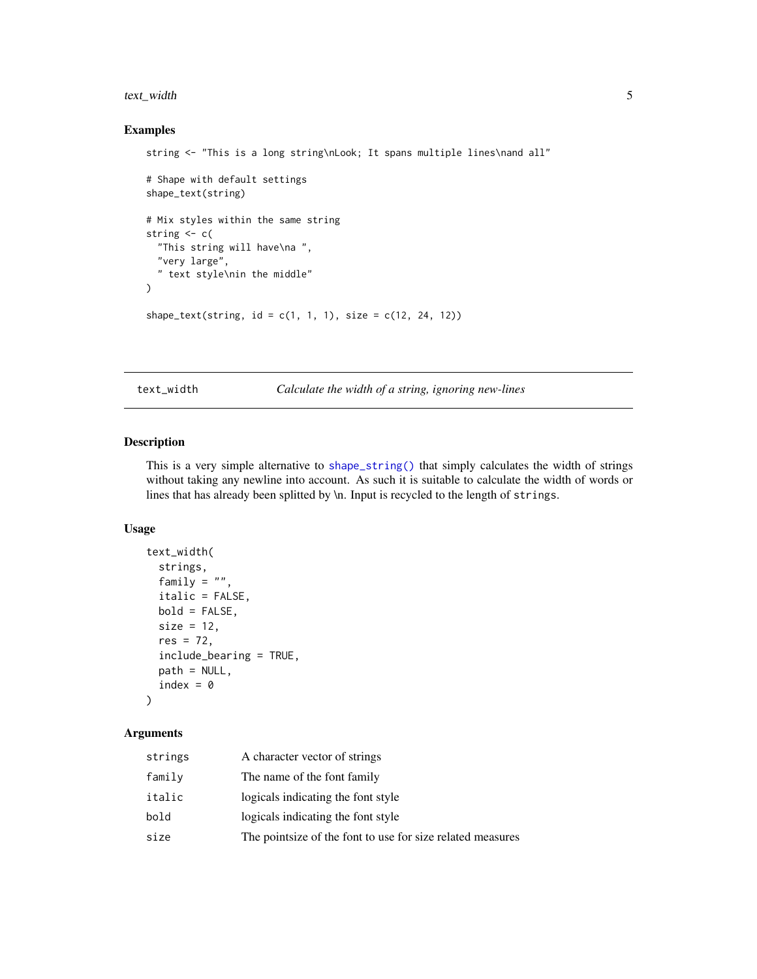# <span id="page-4-0"></span>text\_width 5

#### Examples

```
string <- "This is a long string\nLook; It spans multiple lines\nand all"
# Shape with default settings
shape_text(string)
# Mix styles within the same string
string <- c(
  "This string will have\na ",
  "very large",
  " text style\nin the middle"
\lambdashape_text(string, id = c(1, 1, 1), size = c(12, 24, 12))
```
text\_width *Calculate the width of a string, ignoring new-lines*

# Description

This is a very simple alternative to [shape\\_string\(\)](#page-0-0) that simply calculates the width of strings without taking any newline into account. As such it is suitable to calculate the width of words or lines that has already been splitted by \n. Input is recycled to the length of strings.

# Usage

```
text_width(
  strings,
 family = ",
  italic = FALSE,
 bold = FALSE,
  size = 12,res = 72,
  include_bearing = TRUE,
 path = NULL,
  index = 0)
```
# Arguments

| strings | A character vector of strings                               |
|---------|-------------------------------------------------------------|
| family  | The name of the font family                                 |
| italic  | logicals indicating the font style                          |
| bold    | logicals indicating the font style                          |
| size    | The point size of the font to use for size related measures |
|         |                                                             |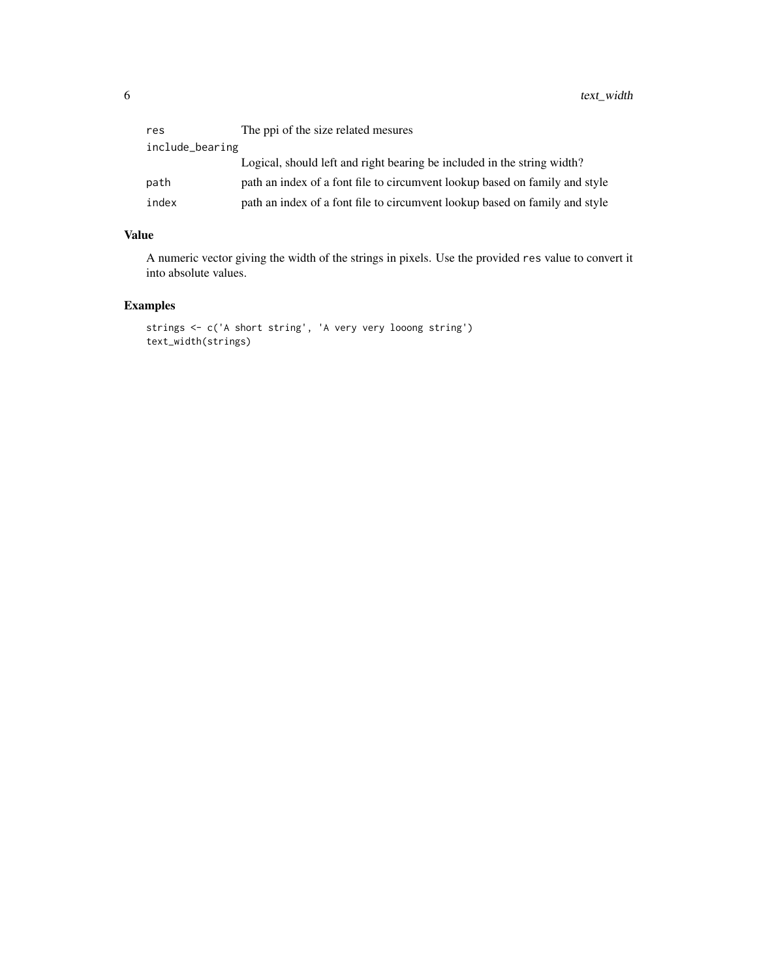| res             | The ppi of the size related mesures                                         |  |
|-----------------|-----------------------------------------------------------------------------|--|
| include_bearing |                                                                             |  |
|                 | Logical, should left and right bearing be included in the string width?     |  |
| path            | path an index of a font file to circumvent lookup based on family and style |  |
| index           | path an index of a font file to circumvent lookup based on family and style |  |

#### Value

A numeric vector giving the width of the strings in pixels. Use the provided res value to convert it into absolute values.

# Examples

```
strings <- c('A short string', 'A very very looong string')
text_width(strings)
```